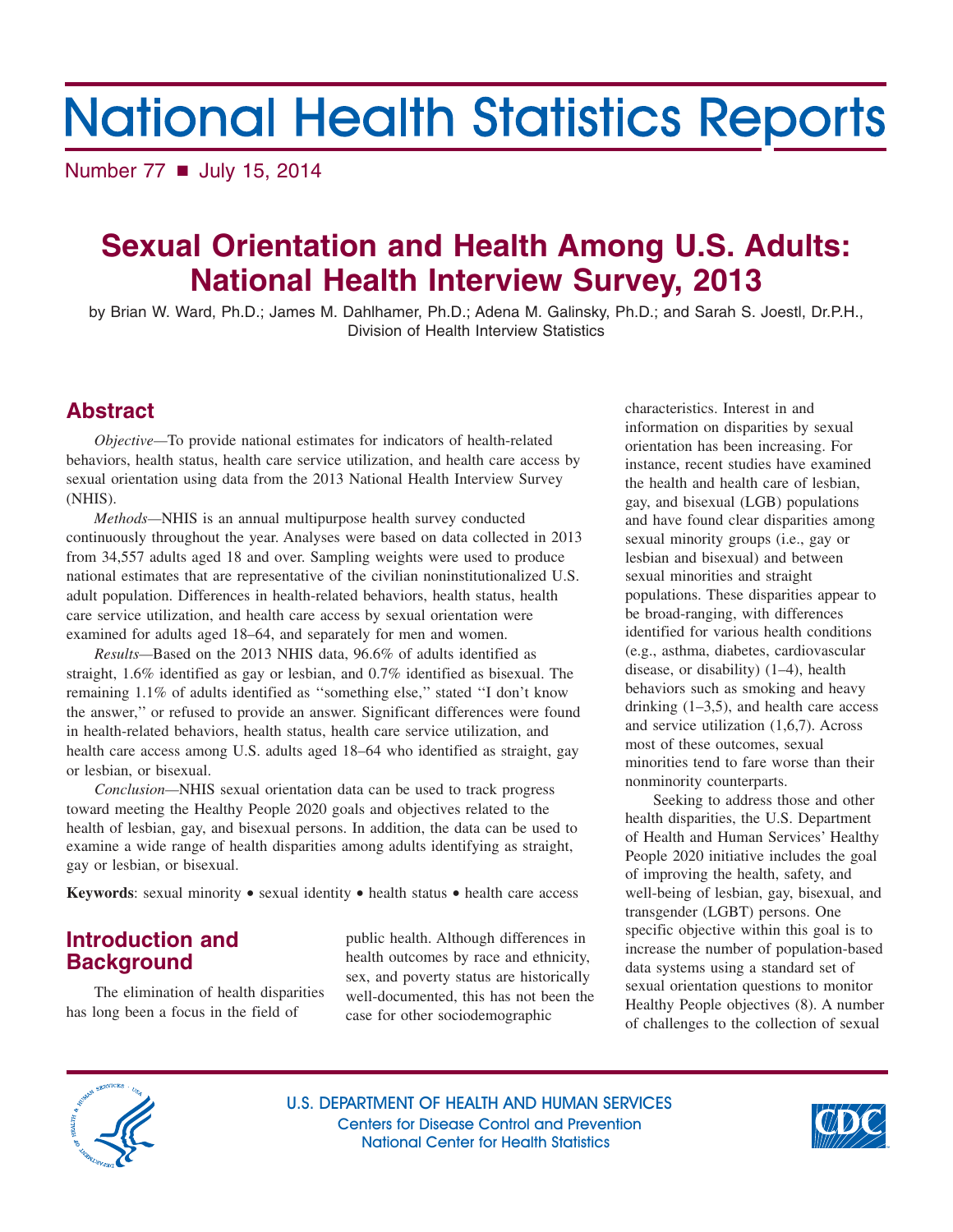# **National Health Statistics Reports**

Number 77 **■** July 15, 2014

## **Sexual Orientation and Health Among U.S. Adults: National Health Interview Survey, 2013**

by Brian W. Ward, Ph.D.; James M. Dahlhamer, Ph.D.; Adena M. Galinsky, Ph.D.; and Sarah S. Joestl, Dr.P.H., Division of Health Interview Statistics

### **Abstract**

*Objective—*To provide national estimates for indicators of health-related behaviors, health status, health care service utilization, and health care access by sexual orientation using data from the 2013 National Health Interview Survey (NHIS).

*Methods—*NHIS is an annual multipurpose health survey conducted continuously throughout the year. Analyses were based on data collected in 2013 from 34,557 adults aged 18 and over. Sampling weights were used to produce national estimates that are representative of the civilian noninstitutionalized U.S. adult population. Differences in health-related behaviors, health status, health care service utilization, and health care access by sexual orientation were examined for adults aged 18–64, and separately for men and women.

*Results—*Based on the 2013 NHIS data, 96.6% of adults identified as straight, 1.6% identified as gay or lesbian, and 0.7% identified as bisexual. The remaining 1.1% of adults identified as ''something else,'' stated ''I don't know the answer,'' or refused to provide an answer. Significant differences were found in health-related behaviors, health status, health care service utilization, and health care access among U.S. adults aged 18–64 who identified as straight, gay or lesbian, or bisexual.

*Conclusion—*NHIS sexual orientation data can be used to track progress toward meeting the Healthy People 2020 goals and objectives related to the health of lesbian, gay, and bisexual persons. In addition, the data can be used to examine a wide range of health disparities among adults identifying as straight, gay or lesbian, or bisexual.

**Keywords**: sexual minority • sexual identity • health status • health care access

### **Introduction and Background**

has long been a focus in the field of case for other sociodemographic

public health. Although differences in health outcomes by race and ethnicity, sex, and poverty status are historically The elimination of health disparities well-documented, this has not been the

characteristics. Interest in and information on disparities by sexual orientation has been increasing. For instance, recent studies have examined the health and health care of lesbian, gay, and bisexual (LGB) populations and have found clear disparities among sexual minority groups (i.e., gay or lesbian and bisexual) and between sexual minorities and straight populations. These disparities appear to be broad-ranging, with differences identified for various health conditions (e.g., asthma, diabetes, cardiovascular disease, or disability) (1–4), health behaviors such as smoking and heavy drinking  $(1-3,5)$ , and health care access and service utilization (1,6,7). Across most of these outcomes, sexual minorities tend to fare worse than their nonminority counterparts.

Seeking to address those and other health disparities, the U.S. Department of Health and Human Services' Healthy People 2020 initiative includes the goal of improving the health, safety, and well-being of lesbian, gay, bisexual, and transgender (LGBT) persons. One specific objective within this goal is to increase the number of population-based data systems using a standard set of sexual orientation questions to monitor Healthy People objectives (8). A number of challenges to the collection of sexual



U.S. DEPARTMENT OF HEALTH AND HUMAN SERVICES Centers for Disease Control and Prevention National Center for Health Statistics

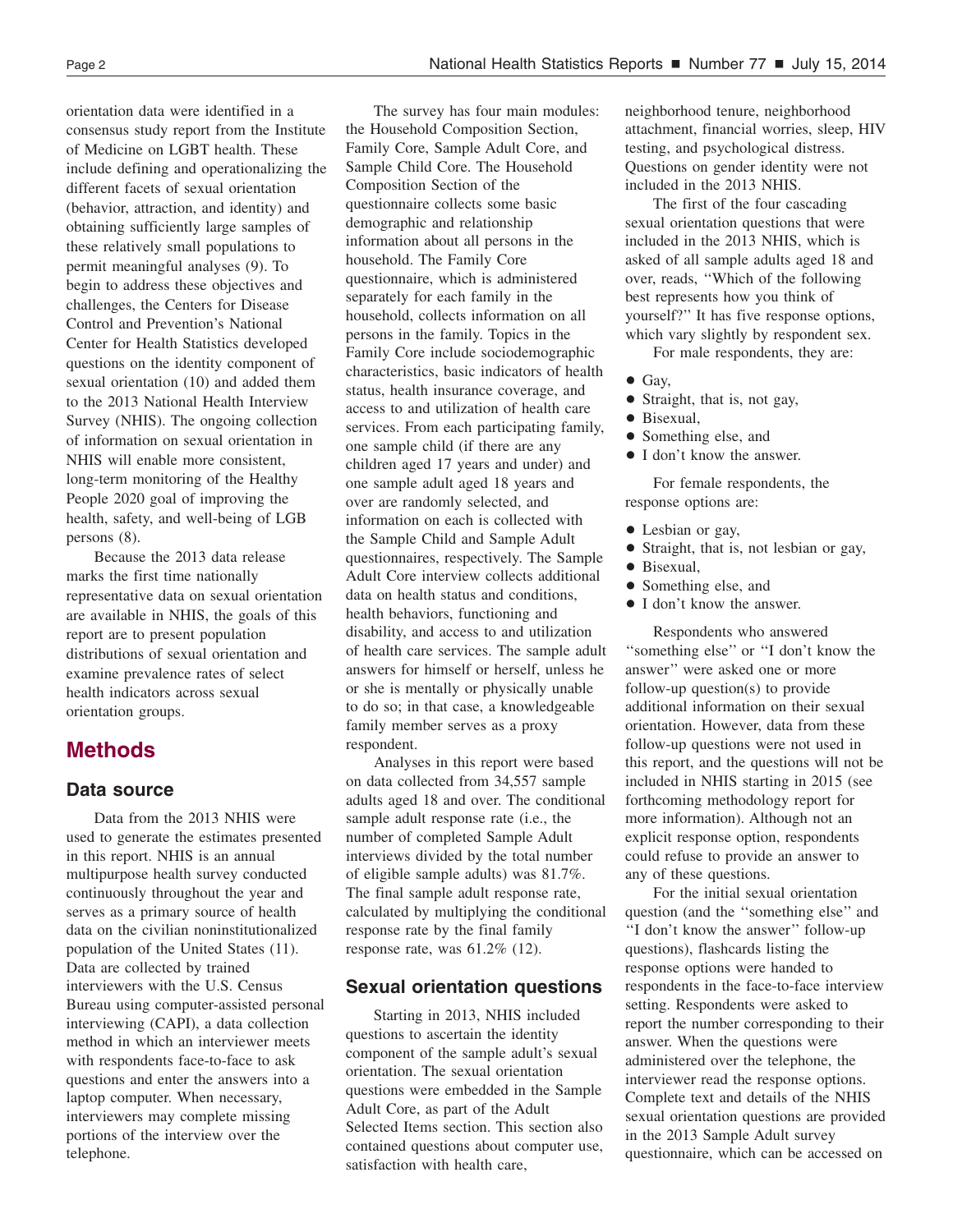orientation data were identified in a consensus study report from the Institute of Medicine on LGBT health. These include defining and operationalizing the different facets of sexual orientation (behavior, attraction, and identity) and obtaining sufficiently large samples of these relatively small populations to permit meaningful analyses (9). To begin to address these objectives and challenges, the Centers for Disease Control and Prevention's National Center for Health Statistics developed questions on the identity component of sexual orientation (10) and added them to the 2013 National Health Interview Survey (NHIS). The ongoing collection of information on sexual orientation in NHIS will enable more consistent, long-term monitoring of the Healthy People 2020 goal of improving the health, safety, and well-being of LGB persons (8).

Because the 2013 data release marks the first time nationally representative data on sexual orientation are available in NHIS, the goals of this report are to present population distributions of sexual orientation and examine prevalence rates of select health indicators across sexual orientation groups.

### **Methods**

### **Data source**

Data from the 2013 NHIS were used to generate the estimates presented in this report. NHIS is an annual multipurpose health survey conducted continuously throughout the year and serves as a primary source of health data on the civilian noninstitutionalized population of the United States (11). Data are collected by trained interviewers with the U.S. Census Bureau using computer-assisted personal interviewing (CAPI), a data collection method in which an interviewer meets with respondents face-to-face to ask questions and enter the answers into a laptop computer. When necessary, interviewers may complete missing portions of the interview over the telephone.

The survey has four main modules: the Household Composition Section, Family Core, Sample Adult Core, and Sample Child Core. The Household Composition Section of the questionnaire collects some basic demographic and relationship information about all persons in the household. The Family Core questionnaire, which is administered separately for each family in the household, collects information on all persons in the family. Topics in the Family Core include sociodemographic characteristics, basic indicators of health status, health insurance coverage, and access to and utilization of health care services. From each participating family, one sample child (if there are any children aged 17 years and under) and one sample adult aged 18 years and over are randomly selected, and information on each is collected with the Sample Child and Sample Adult questionnaires, respectively. The Sample Adult Core interview collects additional data on health status and conditions, health behaviors, functioning and disability, and access to and utilization of health care services. The sample adult answers for himself or herself, unless he or she is mentally or physically unable to do so; in that case, a knowledgeable family member serves as a proxy respondent.

Analyses in this report were based on data collected from 34,557 sample adults aged 18 and over. The conditional sample adult response rate (i.e., the number of completed Sample Adult interviews divided by the total number of eligible sample adults) was 81.7%. The final sample adult response rate, calculated by multiplying the conditional response rate by the final family response rate, was 61.2% (12).

### **Sexual orientation questions**

Starting in 2013, NHIS included questions to ascertain the identity component of the sample adult's sexual orientation. The sexual orientation questions were embedded in the Sample Adult Core, as part of the Adult Selected Items section. This section also contained questions about computer use, satisfaction with health care,

neighborhood tenure, neighborhood attachment, financial worries, sleep, HIV testing, and psychological distress. Questions on gender identity were not included in the 2013 NHIS.

The first of the four cascading sexual orientation questions that were included in the 2013 NHIS, which is asked of all sample adults aged 18 and over, reads, ''Which of the following best represents how you think of yourself?'' It has five response options, which vary slightly by respondent sex.

For male respondents, they are:

- $\bullet$  Gay,
- Straight, that is, not gay,
- Bisexual,
- + Something else, and
- I don't know the answer.

For female respondents, the response options are:

- Lesbian or gay,
- Straight, that is, not lesbian or gay,
- Bisexual,
- Something else, and
- I don't know the answer.

Respondents who answered ''something else'' or ''I don't know the answer'' were asked one or more follow-up question(s) to provide additional information on their sexual orientation. However, data from these follow-up questions were not used in this report, and the questions will not be included in NHIS starting in 2015 (see forthcoming methodology report for more information). Although not an explicit response option, respondents could refuse to provide an answer to any of these questions.

For the initial sexual orientation question (and the ''something else'' and ''I don't know the answer'' follow-up questions), flashcards listing the response options were handed to respondents in the face-to-face interview setting. Respondents were asked to report the number corresponding to their answer. When the questions were administered over the telephone, the interviewer read the response options. Complete text and details of the NHIS sexual orientation questions are provided in the 2013 Sample Adult survey questionnaire, which can be accessed on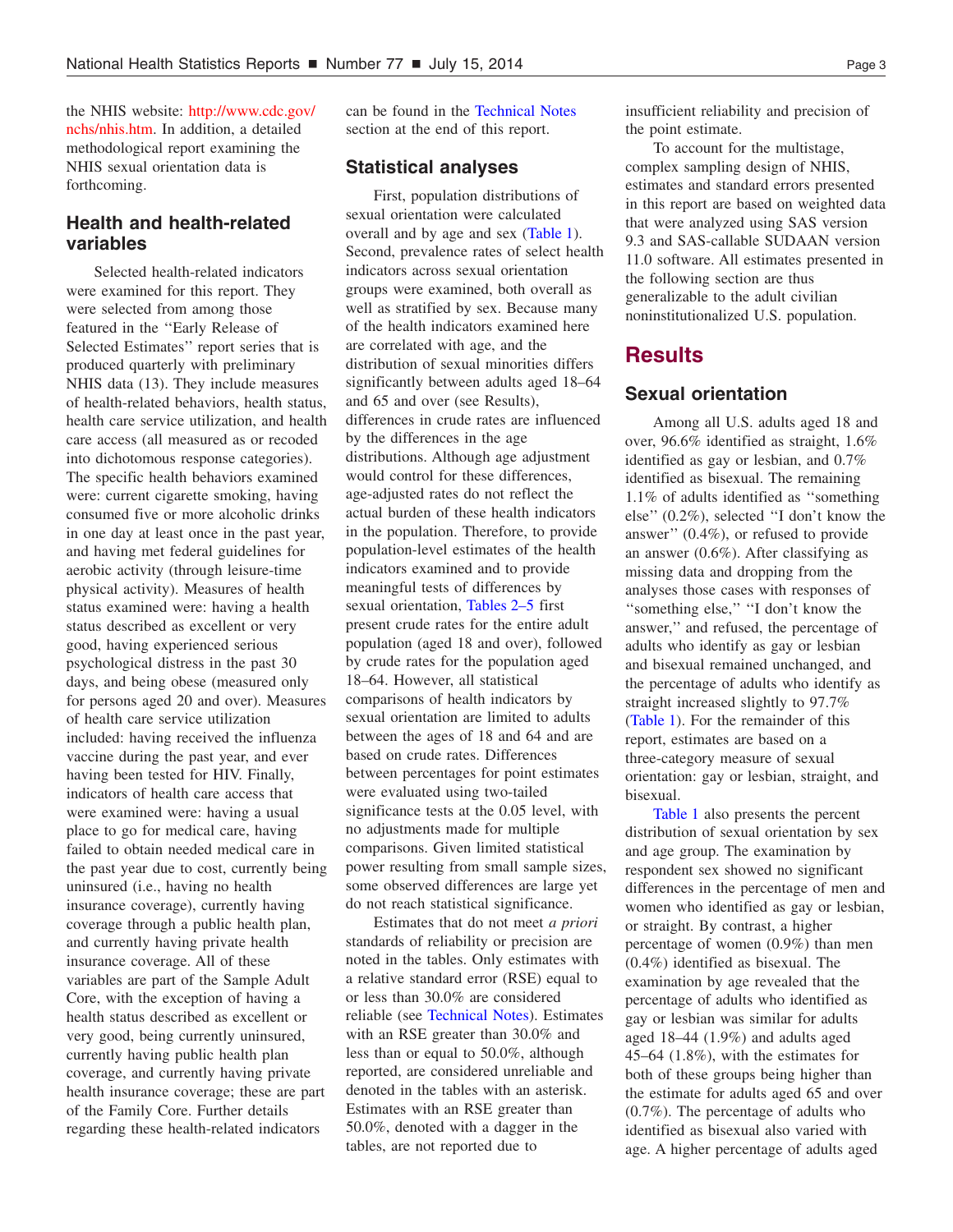the NHIS website: [http://www.cdc.gov/](http://www.cdc.gov/nchs/nhis.htm) nchs/nhis.htm. In addition, a detailed methodological report examining the NHIS sexual orientation data is forthcoming.

### **Health and health-related variables**

Selected health-related indicators were examined for this report. They were selected from among those featured in the ''Early Release of Selected Estimates'' report series that is produced quarterly with preliminary NHIS data (13). They include measures of health-related behaviors, health status, health care service utilization, and health care access (all measured as or recoded into dichotomous response categories). The specific health behaviors examined were: current cigarette smoking, having consumed five or more alcoholic drinks in one day at least once in the past year, and having met federal guidelines for aerobic activity (through leisure-time physical activity). Measures of health status examined were: having a health status described as excellent or very good, having experienced serious psychological distress in the past 30 days, and being obese (measured only for persons aged 20 and over). Measures of health care service utilization included: having received the influenza vaccine during the past year, and ever having been tested for HIV. Finally, indicators of health care access that were examined were: having a usual place to go for medical care, having failed to obtain needed medical care in the past year due to cost, currently being uninsured (i.e., having no health insurance coverage), currently having coverage through a public health plan, and currently having private health insurance coverage. All of these variables are part of the Sample Adult Core, with the exception of having a health status described as excellent or very good, being currently uninsured, currently having public health plan coverage, and currently having private health insurance coverage; these are part of the Family Core. Further details regarding these health-related indicators

can be found in the [Technical](#page-9-0) Notes section at the end of this report.

### **Statistical analyses**

First, population distributions of sexual orientation were calculated overall and by age and sex [\(Table](#page-6-0) 1). Second, prevalence rates of select health indicators across sexual orientation groups were examined, both overall as well as stratified by sex. Because many of the health indicators examined here are correlated with age, and the distribution of sexual minorities differs significantly between adults aged 18–64 and 65 and over (see Results), differences in crude rates are influenced by the differences in the age distributions. Although age adjustment would control for these differences, age-adjusted rates do not reflect the actual burden of these health indicators in the population. Therefore, to provide population-level estimates of the health indicators examined and to provide meaningful tests of differences by sexual orientation, [Tables](#page-6-0) 2–5 first present crude rates for the entire adult population (aged 18 and over), followed by crude rates for the population aged 18–64. However, all statistical comparisons of health indicators by sexual orientation are limited to adults between the ages of 18 and 64 and are based on crude rates. Differences between percentages for point estimates were evaluated using two-tailed significance tests at the 0.05 level, with no adjustments made for multiple comparisons. Given limited statistical power resulting from small sample sizes, some observed differences are large yet do not reach statistical significance.

Estimates that do not meet *a priori* standards of reliability or precision are noted in the tables. Only estimates with a relative standard error (RSE) equal to or less than 30.0% are considered reliable (see [Technical](#page-9-0) Notes). Estimates with an RSE greater than 30.0% and less than or equal to 50.0%, although reported, are considered unreliable and denoted in the tables with an asterisk. Estimates with an RSE greater than 50.0%, denoted with a dagger in the tables, are not reported due to

insufficient reliability and precision of the point estimate.

To account for the multistage, complex sampling design of NHIS, estimates and standard errors presented in this report are based on weighted data that were analyzed using SAS version 9.3 and SAS-callable SUDAAN version 11.0 software. All estimates presented in the following section are thus generalizable to the adult civilian noninstitutionalized U.S. population.

### **Results**

### **Sexual orientation**

Among all U.S. adults aged 18 and over, 96.6% identified as straight, 1.6% identified as gay or lesbian, and 0.7% identified as bisexual. The remaining 1.1% of adults identified as ''something else'' (0.2%), selected ''I don't know the answer'' (0.4%), or refused to provide an answer (0.6%). After classifying as missing data and dropping from the analyses those cases with responses of ''something else,'' ''I don't know the answer,'' and refused, the percentage of adults who identify as gay or lesbian and bisexual remained unchanged, and the percentage of adults who identify as straight increased slightly to 97.7% [\(Table](#page-6-0) 1). For the remainder of this report, estimates are based on a three-category measure of sexual orientation: gay or lesbian, straight, and bisexual.

[Table](#page-6-0) 1 also presents the percent distribution of sexual orientation by sex and age group. The examination by respondent sex showed no significant differences in the percentage of men and women who identified as gay or lesbian, or straight. By contrast, a higher percentage of women (0.9%) than men (0.4%) identified as bisexual. The examination by age revealed that the percentage of adults who identified as gay or lesbian was similar for adults aged 18–44 (1.9%) and adults aged 45–64 (1.8%), with the estimates for both of these groups being higher than the estimate for adults aged 65 and over (0.7%). The percentage of adults who identified as bisexual also varied with age. A higher percentage of adults aged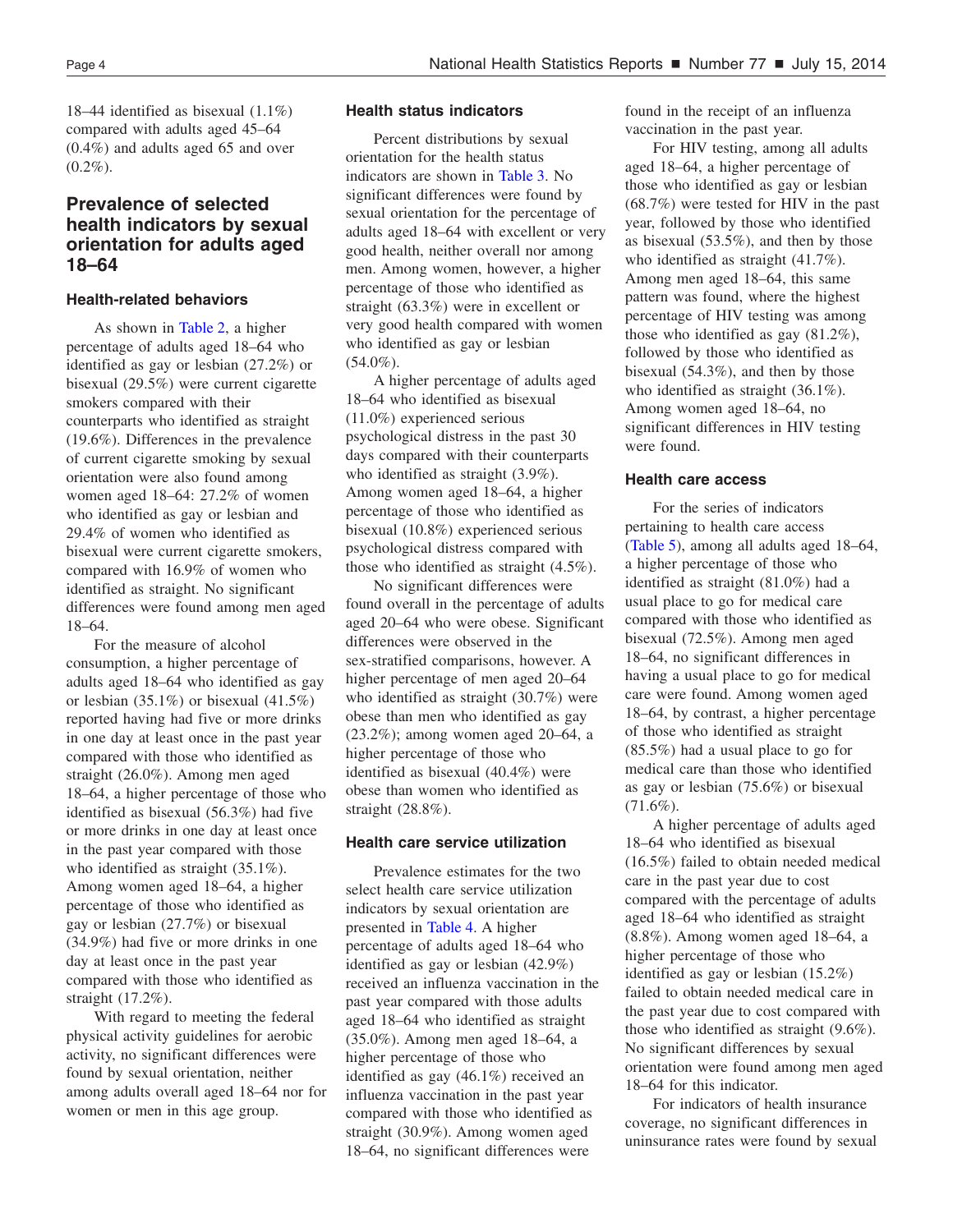18–44 identified as bisexual (1.1%) compared with adults aged 45–64 (0.4%) and adults aged 65 and over  $(0.2\%)$ .

### **Prevalence of selected health indicators by sexual orientation for adults aged 18–64**

### **Health-related behaviors**

As shown in [Table](#page-6-0) 2, a higher percentage of adults aged 18–64 who identified as gay or lesbian (27.2%) or bisexual (29.5%) were current cigarette smokers compared with their counterparts who identified as straight (19.6%). Differences in the prevalence of current cigarette smoking by sexual orientation were also found among women aged 18–64: 27.2% of women who identified as gay or lesbian and 29.4% of women who identified as bisexual were current cigarette smokers, compared with 16.9% of women who identified as straight. No significant differences were found among men aged 18–64.

For the measure of alcohol consumption, a higher percentage of adults aged 18–64 who identified as gay or lesbian  $(35.1\%)$  or bisexual  $(41.5\%)$ reported having had five or more drinks in one day at least once in the past year compared with those who identified as straight (26.0%). Among men aged 18–64, a higher percentage of those who identified as bisexual (56.3%) had five or more drinks in one day at least once in the past year compared with those who identified as straight  $(35.1\%)$ . Among women aged 18–64, a higher percentage of those who identified as gay or lesbian (27.7%) or bisexual (34.9%) had five or more drinks in one day at least once in the past year compared with those who identified as straight (17.2%).

With regard to meeting the federal physical activity guidelines for aerobic activity, no significant differences were found by sexual orientation, neither among adults overall aged 18–64 nor for women or men in this age group.

### **Health status indicators**

Percent distributions by sexual orientation for the health status indicators are shown in [Table](#page-7-0) 3. No significant differences were found by sexual orientation for the percentage of adults aged 18–64 with excellent or very good health, neither overall nor among men. Among women, however, a higher percentage of those who identified as straight (63.3%) were in excellent or very good health compared with women who identified as gay or lesbian  $(54.0\%)$ .

A higher percentage of adults aged 18–64 who identified as bisexual (11.0%) experienced serious psychological distress in the past 30 days compared with their counterparts who identified as straight (3.9%). Among women aged 18–64, a higher percentage of those who identified as bisexual (10.8%) experienced serious psychological distress compared with those who identified as straight (4.5%).

No significant differences were found overall in the percentage of adults aged 20–64 who were obese. Significant differences were observed in the sex-stratified comparisons, however. A higher percentage of men aged 20–64 who identified as straight (30.7%) were obese than men who identified as gay (23.2%); among women aged 20–64, a higher percentage of those who identified as bisexual (40.4%) were obese than women who identified as straight (28.8%).

### **Health care service utilization**

Prevalence estimates for the two select health care service utilization indicators by sexual orientation are presented in [Table](#page-7-0) 4. A higher percentage of adults aged 18–64 who identified as gay or lesbian (42.9%) received an influenza vaccination in the past year compared with those adults aged 18–64 who identified as straight (35.0%). Among men aged 18–64, a higher percentage of those who identified as gay (46.1%) received an influenza vaccination in the past year compared with those who identified as straight (30.9%). Among women aged 18–64, no significant differences were

found in the receipt of an influenza vaccination in the past year.

For HIV testing, among all adults aged 18–64, a higher percentage of those who identified as gay or lesbian (68.7%) were tested for HIV in the past year, followed by those who identified as bisexual (53.5%), and then by those who identified as straight (41.7%). Among men aged 18–64, this same pattern was found, where the highest percentage of HIV testing was among those who identified as gay (81.2%), followed by those who identified as bisexual (54.3%), and then by those who identified as straight (36.1%). Among women aged 18–64, no significant differences in HIV testing were found.

### **Health care access**

For the series of indicators pertaining to health care access [\(Table](#page-8-0) 5), among all adults aged 18–64, a higher percentage of those who identified as straight (81.0%) had a usual place to go for medical care compared with those who identified as bisexual (72.5%). Among men aged 18–64, no significant differences in having a usual place to go for medical care were found. Among women aged 18–64, by contrast, a higher percentage of those who identified as straight (85.5%) had a usual place to go for medical care than those who identified as gay or lesbian (75.6%) or bisexual  $(71.6\%)$ .

A higher percentage of adults aged 18–64 who identified as bisexual (16.5%) failed to obtain needed medical care in the past year due to cost compared with the percentage of adults aged 18–64 who identified as straight (8.8%). Among women aged 18–64, a higher percentage of those who identified as gay or lesbian (15.2%) failed to obtain needed medical care in the past year due to cost compared with those who identified as straight (9.6%). No significant differences by sexual orientation were found among men aged 18–64 for this indicator.

For indicators of health insurance coverage, no significant differences in uninsurance rates were found by sexual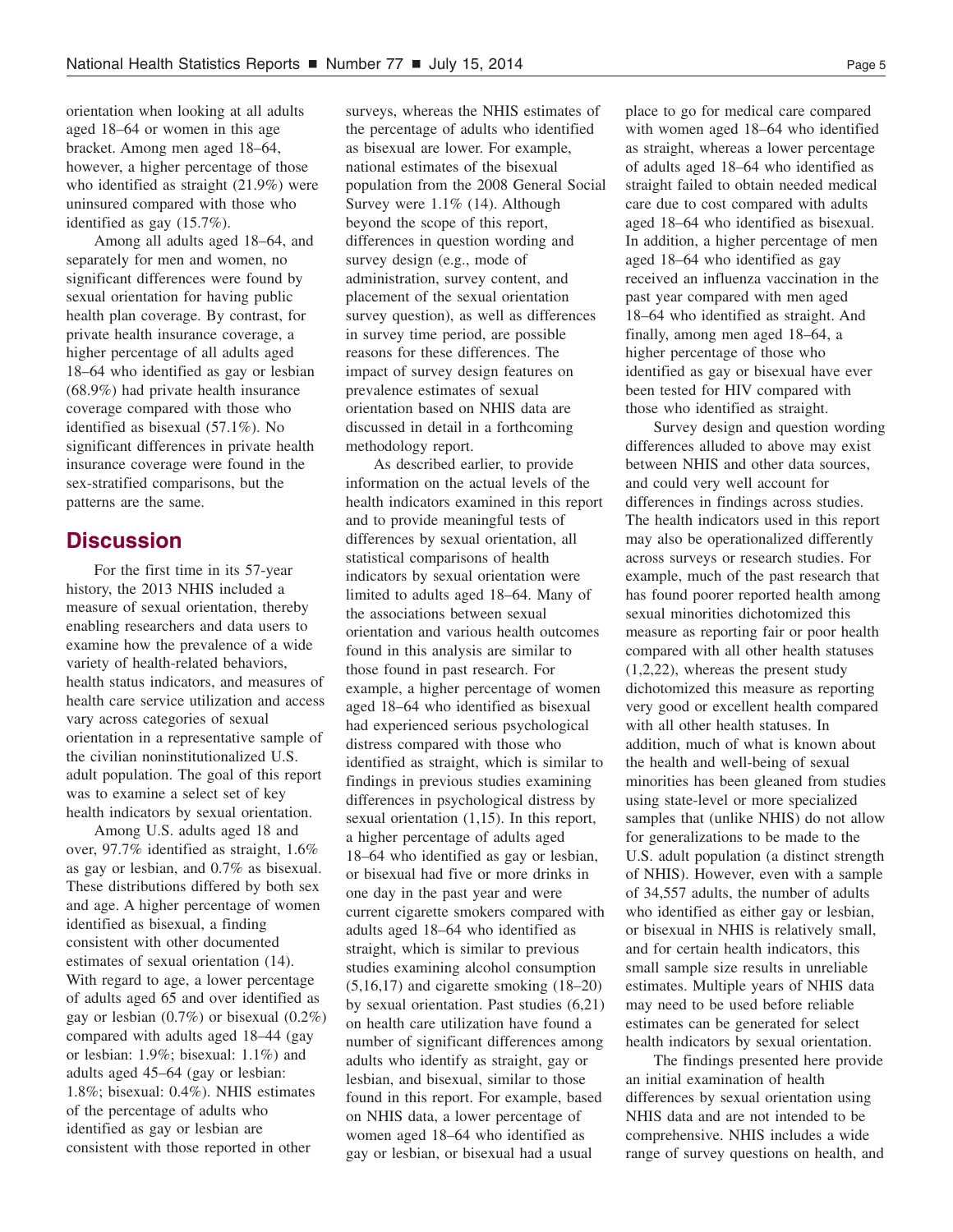orientation when looking at all adults aged 18–64 or women in this age bracket. Among men aged 18–64, however, a higher percentage of those who identified as straight (21.9%) were uninsured compared with those who identified as gay (15.7%).

Among all adults aged 18–64, and separately for men and women, no significant differences were found by sexual orientation for having public health plan coverage. By contrast, for private health insurance coverage, a higher percentage of all adults aged 18–64 who identified as gay or lesbian (68.9%) had private health insurance coverage compared with those who identified as bisexual (57.1%). No significant differences in private health insurance coverage were found in the sex-stratified comparisons, but the patterns are the same.

### **Discussion**

For the first time in its 57-year history, the 2013 NHIS included a measure of sexual orientation, thereby enabling researchers and data users to examine how the prevalence of a wide variety of health-related behaviors, health status indicators, and measures of health care service utilization and access vary across categories of sexual orientation in a representative sample of the civilian noninstitutionalized U.S. adult population. The goal of this report was to examine a select set of key health indicators by sexual orientation.

Among U.S. adults aged 18 and over, 97.7% identified as straight, 1.6% as gay or lesbian, and 0.7% as bisexual. These distributions differed by both sex and age. A higher percentage of women identified as bisexual, a finding consistent with other documented estimates of sexual orientation (14). With regard to age, a lower percentage of adults aged 65 and over identified as gay or lesbian (0.7%) or bisexual (0.2%) compared with adults aged 18–44 (gay or lesbian: 1.9%; bisexual: 1.1%) and adults aged 45–64 (gay or lesbian: 1.8%; bisexual: 0.4%). NHIS estimates of the percentage of adults who identified as gay or lesbian are consistent with those reported in other

surveys, whereas the NHIS estimates of the percentage of adults who identified as bisexual are lower. For example, national estimates of the bisexual population from the 2008 General Social Survey were 1.1% (14). Although beyond the scope of this report, differences in question wording and survey design (e.g., mode of administration, survey content, and placement of the sexual orientation survey question), as well as differences in survey time period, are possible reasons for these differences. The impact of survey design features on prevalence estimates of sexual orientation based on NHIS data are discussed in detail in a forthcoming methodology report.

As described earlier, to provide information on the actual levels of the health indicators examined in this report and to provide meaningful tests of differences by sexual orientation, all statistical comparisons of health indicators by sexual orientation were limited to adults aged 18–64. Many of the associations between sexual orientation and various health outcomes found in this analysis are similar to those found in past research. For example, a higher percentage of women aged 18–64 who identified as bisexual had experienced serious psychological distress compared with those who identified as straight, which is similar to findings in previous studies examining differences in psychological distress by sexual orientation (1,15). In this report, a higher percentage of adults aged 18–64 who identified as gay or lesbian, or bisexual had five or more drinks in one day in the past year and were current cigarette smokers compared with adults aged 18–64 who identified as straight, which is similar to previous studies examining alcohol consumption (5,16,17) and cigarette smoking (18–20) by sexual orientation. Past studies (6,21) on health care utilization have found a number of significant differences among adults who identify as straight, gay or lesbian, and bisexual, similar to those found in this report. For example, based on NHIS data, a lower percentage of women aged 18–64 who identified as gay or lesbian, or bisexual had a usual

place to go for medical care compared with women aged 18–64 who identified as straight, whereas a lower percentage of adults aged 18–64 who identified as straight failed to obtain needed medical care due to cost compared with adults aged 18–64 who identified as bisexual. In addition, a higher percentage of men aged 18–64 who identified as gay received an influenza vaccination in the past year compared with men aged 18–64 who identified as straight. And finally, among men aged 18–64, a higher percentage of those who identified as gay or bisexual have ever been tested for HIV compared with those who identified as straight.

Survey design and question wording differences alluded to above may exist between NHIS and other data sources, and could very well account for differences in findings across studies. The health indicators used in this report may also be operationalized differently across surveys or research studies. For example, much of the past research that has found poorer reported health among sexual minorities dichotomized this measure as reporting fair or poor health compared with all other health statuses (1,2,22), whereas the present study dichotomized this measure as reporting very good or excellent health compared with all other health statuses. In addition, much of what is known about the health and well-being of sexual minorities has been gleaned from studies using state-level or more specialized samples that (unlike NHIS) do not allow for generalizations to be made to the U.S. adult population (a distinct strength of NHIS). However, even with a sample of 34,557 adults, the number of adults who identified as either gay or lesbian, or bisexual in NHIS is relatively small, and for certain health indicators, this small sample size results in unreliable estimates. Multiple years of NHIS data may need to be used before reliable estimates can be generated for select health indicators by sexual orientation.

The findings presented here provide an initial examination of health differences by sexual orientation using NHIS data and are not intended to be comprehensive. NHIS includes a wide range of survey questions on health, and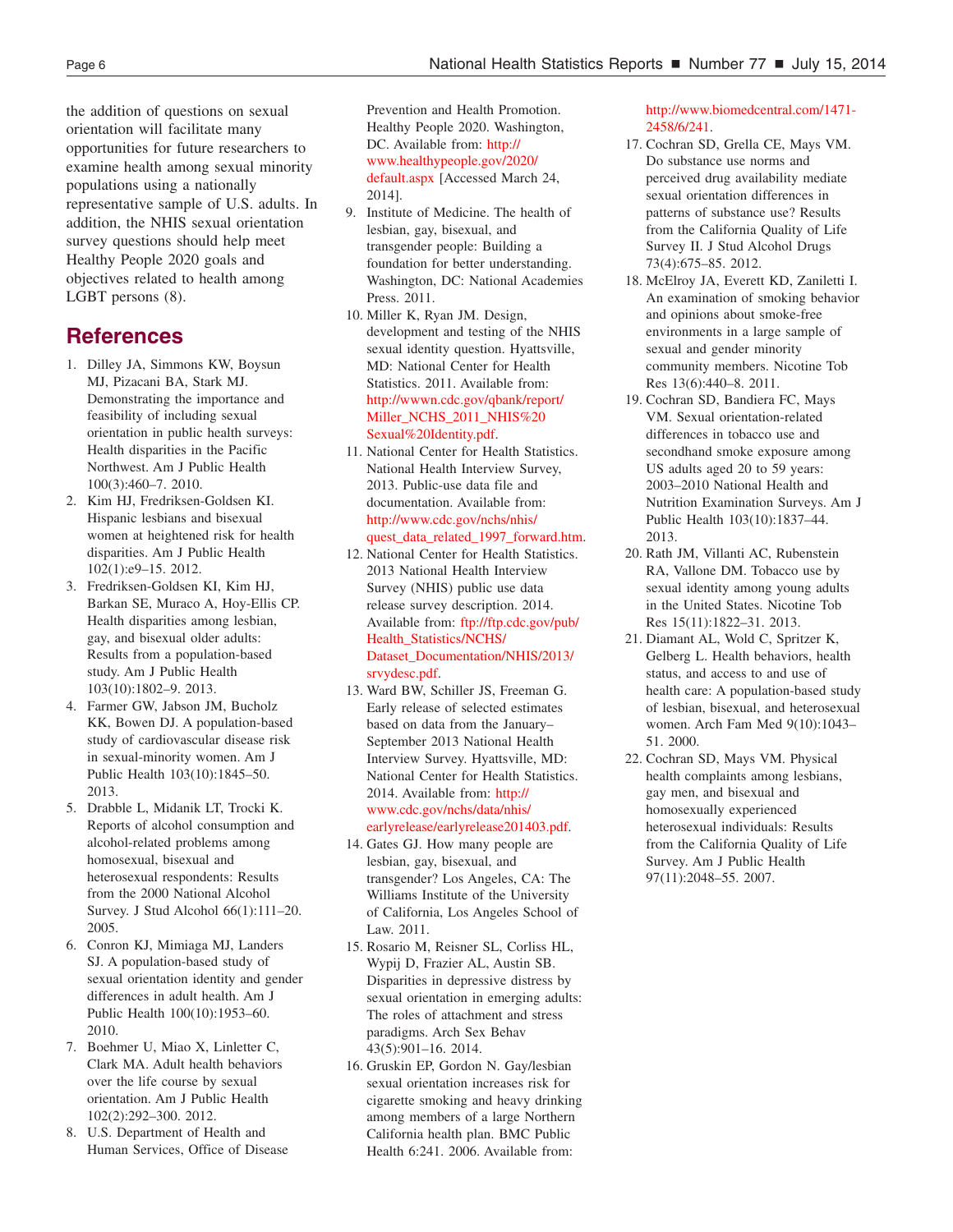the addition of questions on sexual orientation will facilitate many opportunities for future researchers to examine health among sexual minority populations using a nationally representative sample of U.S. adults. In addition, the NHIS sexual orientation survey questions should help meet Healthy People 2020 goals and objectives related to health among LGBT persons (8).

### **References**

- 1. Dilley JA, Simmons KW, Boysun MJ, Pizacani BA, Stark MJ. Demonstrating the importance and feasibility of including sexual orientation in public health surveys: Health disparities in the Pacific Northwest. Am J Public Health 100(3):460–7. 2010.
- 2. Kim HJ, Fredriksen-Goldsen KI. Hispanic lesbians and bisexual women at heightened risk for health disparities. Am J Public Health 102(1):e9–15. 2012.
- 3. Fredriksen-Goldsen KI, Kim HJ, Barkan SE, Muraco A, Hoy-Ellis CP. Health disparities among lesbian, gay, and bisexual older adults: Results from a population-based study. Am J Public Health 103(10):1802–9. 2013.
- 4. Farmer GW, Jabson JM, Bucholz KK, Bowen DJ. A population-based study of cardiovascular disease risk in sexual-minority women. Am J Public Health 103(10):1845–50. 2013.
- 5. Drabble L, Midanik LT, Trocki K. Reports of alcohol consumption and alcohol-related problems among homosexual, bisexual and heterosexual respondents: Results from the 2000 National Alcohol Survey. J Stud Alcohol 66(1):111–20. 2005.
- 6. Conron KJ, Mimiaga MJ, Landers SJ. A population-based study of sexual orientation identity and gender differences in adult health. Am J Public Health 100(10):1953–60. 2010.
- 7. Boehmer U, Miao X, Linletter C, Clark MA. Adult health behaviors over the life course by sexual orientation. Am J Public Health 102(2):292–300. 2012.
- 8. U.S. Department of Health and Human Services, Office of Disease

Prevention and Health Promotion. Healthy People 2020. Washington, DC. Available from: http:// [www.healthypeople.gov/2020/](http://www.healthypeople.gov/2020/default.aspx) default.aspx [Accessed March 24, 2014].

- 9. Institute of Medicine. The health of lesbian, gay, bisexual, and transgender people: Building a foundation for better understanding. Washington, DC: National Academies Press. 2011.
- 10. Miller K, Ryan JM. Design, development and testing of the NHIS sexual identity question. Hyattsville, MD: National Center for Health Statistics. 2011. Available from: [http://wwwn.cdc.gov/qbank/report/](http://wwwn.cdc.gov/qbank/report/Miller_NCHS_2011_NHIS%20Sexual%20Identity.pdf) Miller\_NCHS\_2011\_NHIS%20 Sexual%20Identity.pdf.
- 11. National Center for Health Statistics. National Health Interview Survey, 2013. Public-use data file and documentation. Available from: http://www.cdc.gov/nchs/nhis/ [quest\\_data\\_related\\_1997\\_forward.htm.](http://www.cdc.gov/nchs/nhis/quest_data_related_1997_forward.htm)
- 12. National Center for Health Statistics. 2013 National Health Interview Survey (NHIS) public use data release survey description. 2014. Available from: ftp://ftp.cdc.gov/pub/ Health\_Statistics/NCHS/ [Dataset\\_Documentation/NHIS/2013/](ftp://ftp.cdc.gov/pub/Health_Statistics/NCHS/Dataset_Documentation/NHIS/2013/srvydesc.pdf) srvydesc.pdf.
- 13. Ward BW, Schiller JS, Freeman G. Early release of selected estimates based on data from the January– September 2013 National Health Interview Survey. Hyattsville, MD: National Center for Health Statistics. 2014. Available from: http:// www.cdc.gov/nchs/data/nhis/ [earlyrelease/earlyrelease201403.pdf.](http://www.cdc.gov/nchs/data/nhis/earlyrelease/earlyrelease201403.pdf)
- 14. Gates GJ. How many people are lesbian, gay, bisexual, and transgender? Los Angeles, CA: The Williams Institute of the University of California, Los Angeles School of Law. 2011.
- 15. Rosario M, Reisner SL, Corliss HL, Wypij D, Frazier AL, Austin SB. Disparities in depressive distress by sexual orientation in emerging adults: The roles of attachment and stress paradigms. Arch Sex Behav 43(5):901–16. 2014.
- 16. Gruskin EP, Gordon N. Gay/lesbian sexual orientation increases risk for cigarette smoking and heavy drinking among members of a large Northern California health plan. BMC Public Health 6:241. 2006. Available from:

[http://www.biomedcentral.com/1471](http://www.biomedcentral.com/1471-2458/6/241) 2458/6/241.

- 17. Cochran SD, Grella CE, Mays VM. Do substance use norms and perceived drug availability mediate sexual orientation differences in patterns of substance use? Results from the California Quality of Life Survey II. J Stud Alcohol Drugs 73(4):675–85. 2012.
- 18. McElroy JA, Everett KD, Zaniletti I. An examination of smoking behavior and opinions about smoke-free environments in a large sample of sexual and gender minority community members. Nicotine Tob Res 13(6):440–8. 2011.
- 19. Cochran SD, Bandiera FC, Mays VM. Sexual orientation-related differences in tobacco use and secondhand smoke exposure among US adults aged 20 to 59 years: 2003–2010 National Health and Nutrition Examination Surveys. Am J Public Health 103(10):1837–44. 2013.
- 20. Rath JM, Villanti AC, Rubenstein RA, Vallone DM. Tobacco use by sexual identity among young adults in the United States. Nicotine Tob Res 15(11):1822–31. 2013.
- 21. Diamant AL, Wold C, Spritzer K, Gelberg L. Health behaviors, health status, and access to and use of health care: A population-based study of lesbian, bisexual, and heterosexual women. Arch Fam Med 9(10):1043– 51. 2000.
- 22. Cochran SD, Mays VM. Physical health complaints among lesbians, gay men, and bisexual and homosexually experienced heterosexual individuals: Results from the California Quality of Life Survey. Am J Public Health 97(11):2048–55. 2007.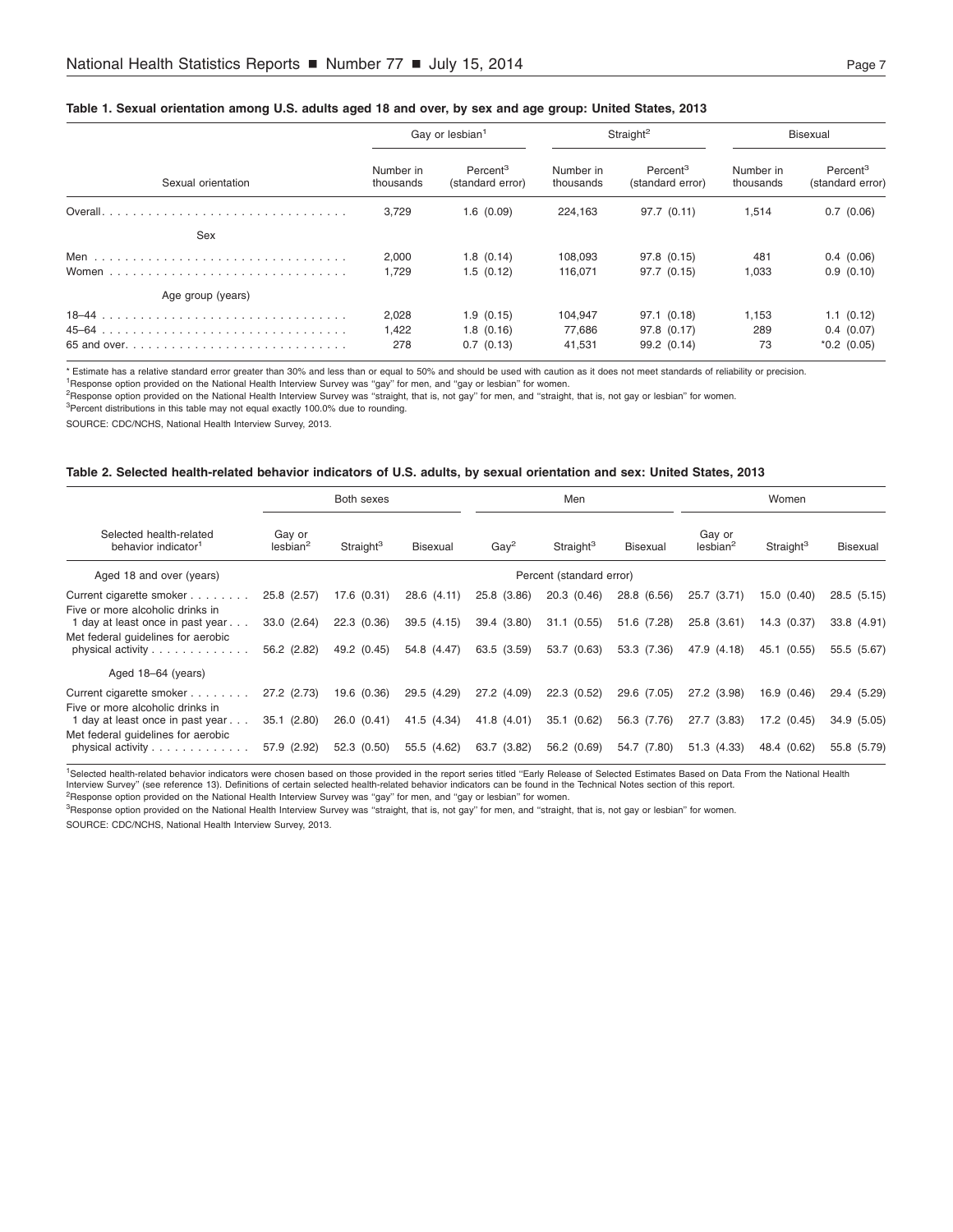#### <span id="page-6-0"></span>Table 1. Sexual orientation among U.S. adults aged 18 and over, by sex and age group: United States, 2013

|                                                                                           |                        | Gay or lesbian <sup>1</sup>              |                        | Straight <sup>2</sup>                    | Bisexual               |                                          |
|-------------------------------------------------------------------------------------------|------------------------|------------------------------------------|------------------------|------------------------------------------|------------------------|------------------------------------------|
| Sexual orientation                                                                        | Number in<br>thousands | Percent <sup>3</sup><br>(standard error) | Number in<br>thousands | Percent <sup>3</sup><br>(standard error) | Number in<br>thousands | Percent <sup>3</sup><br>(standard error) |
|                                                                                           | 3.729                  | 1.6(0.09)                                | 224.163                | 97.7 (0.11)                              | 1.514                  | 0.7(0.06)                                |
| Sex                                                                                       |                        |                                          |                        |                                          |                        |                                          |
|                                                                                           | 2,000<br>1.729         | 1.8(0.14)<br>1.5(0.12)                   | 108,093<br>116.071     | 97.8 (0.15)<br>97.7 (0.15)               | 481<br>1,033           | 0.4(0.06)<br>0.9(0.10)                   |
| Age group (years)                                                                         |                        |                                          |                        |                                          |                        |                                          |
|                                                                                           | 2,028                  | 1.9(0.15)                                | 104,947                | 97.1 (0.18)                              | 1,153                  | 1.1(0.12)                                |
| 65 and over. $\ldots$ . $\ldots$ . $\ldots$ . $\ldots$ . $\ldots$ . $\ldots$ . $\ldots$ . | 1,422<br>278           | 1.8(0.16)<br>0.7(0.13)                   | 77,686<br>41,531       | 97.8 (0.17)<br>99.2 (0.14)               | 289<br>73              | 0.4(0.07)<br>$*0.2$ (0.05)               |

\* Estimate has a relative standard error greater than 30% and less than or equal to 50% and should be used with caution as it does not meet standards of reliability or precision.

<sup>1</sup>Response option provided on the National Health Interview Survey was "gay" for men, and "gay or lesbian" for women.

2Response option provided on the National Health Interview Survey was ''straight, that is, not gay'' for men, and ''straight, that is, not gay or lesbian'' for women.

 $3$ Percent distributions in this table may not equal exactly 100.0% due to rounding.

SOURCE: CDC/NCHS, National Health Interview Survey, 2013.

#### Table 2. Selected health-related behavior indicators of U.S. adults, by sexual orientation and sex: United States, 2013

|                                                                                       | Both sexes                     |                       |                 |                | Men                      |                 |                                | Women                 |                 |  |
|---------------------------------------------------------------------------------------|--------------------------------|-----------------------|-----------------|----------------|--------------------------|-----------------|--------------------------------|-----------------------|-----------------|--|
| Selected health-related<br>behavior indicator <sup>1</sup>                            | Gay or<br>lesbian <sup>2</sup> | Straight <sup>3</sup> | <b>Bisexual</b> | $\text{Gay}^2$ | Straight <sup>3</sup>    | <b>Bisexual</b> | Gay or<br>lesbian <sup>2</sup> | Straight <sup>3</sup> | <b>Bisexual</b> |  |
| Aged 18 and over (years)                                                              |                                |                       |                 |                | Percent (standard error) |                 |                                |                       |                 |  |
| Current cigarette smoker<br>Five or more alcoholic drinks in                          | 25.8 (2.57)                    | 17.6 (0.31)           | 28.6 (4.11)     | 25.8 (3.86)    | 20.3 (0.46)              | 28.8 (6.56)     | (3.71)<br>25.7                 | (0.40)<br>15.0        | 28.5(5.15)      |  |
| 1 day at least once in past year                                                      | 33.0 (2.64)                    | 22.3 (0.36)           | 39.5(4.15)      | 39.4 (3.80)    | 31.1(0.55)               | 51.6 (7.28)     | 25.8 (3.61)                    | 14.3(0.37)            | 33.8 (4.91)     |  |
| Met federal quidelines for aerobic<br>physical activity                               | 56.2 (2.82)                    | 49.2 (0.45)           | 54.8 (4.47)     | 63.5 (3.59)    | 53.7 (0.63)              | 53.3 (7.36)     | 47.9 (4.18)                    | 45.1 (0.55)           | 55.5 (5.67)     |  |
| Aged 18-64 (years)                                                                    |                                |                       |                 |                |                          |                 |                                |                       |                 |  |
| Current cigarette smoker<br>Five or more alcoholic drinks in                          | 27.2 (2.73)                    | 19.6 (0.36)           | 29.5 (4.29)     | 27.2 (4.09)    | 22.3(0.52)               | 29.6 (7.05)     | 27.2 (3.98)                    | 16.9 (0.46)           | 29.4 (5.29)     |  |
| 1 day at least once in past year                                                      | 35.1(2.80)                     | 26.0(0.41)            | 41.5 (4.34)     | 41.8 (4.01)    | 35.1 (0.62)              | 56.3 (7.76)     | 27.7 (3.83)                    | 17.2 (0.45)           | 34.9 (5.05)     |  |
| Met federal quidelines for aerobic<br>physical activity $\ldots \ldots \ldots \ldots$ | 57.9 (2.92)                    | 52.3 (0.50)           | 55.5 (4.62)     | 63.7 (3.82)    | 56.2 (0.69)              | 54.7 (7.80)     | 51.3 (4.33)                    | 48.4 (0.62)           | 55.8 (5.79)     |  |

<sup>1</sup>Selected health-related behavior indicators were chosen based on those provided in the report series titled "Early Release of Selected Estimates Based on Data From the National Health

Interview Survey'' (see reference 13). Definitions of certain selected health-related behavior indicators can be found in the Technical Notes section of this report.

<sup>2</sup>Response option provided on the National Health Interview Survey was "gay" for men, and "gay or lesbian" for women.

<sup>3</sup>Response option provided on the National Health Interview Survey was "straight, that is, not gay" for men, and "straight, that is, not gay or lesbian" for women.

SOURCE: CDC/NCHS, National Health Interview Survey, 2013.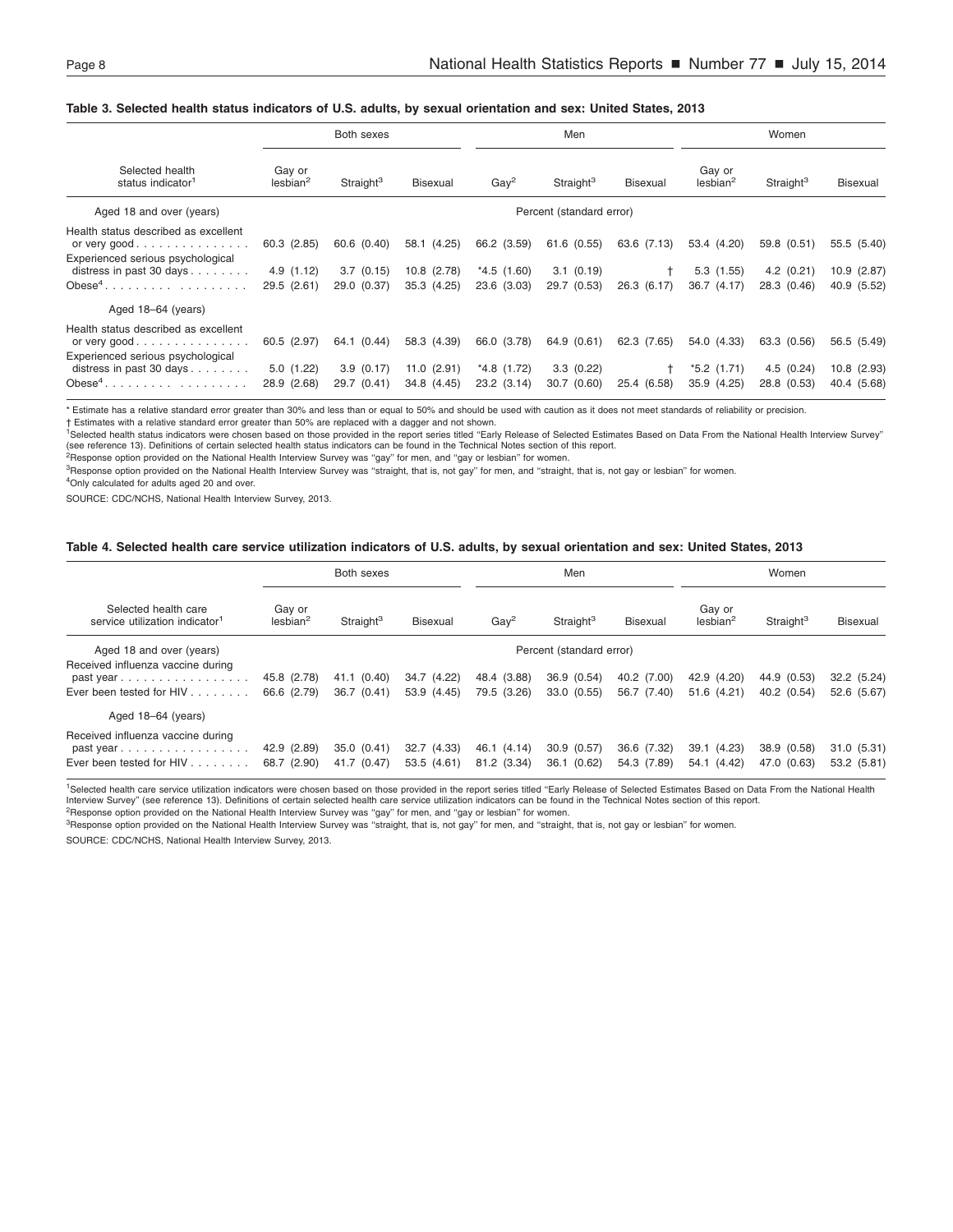#### <span id="page-7-0"></span>Table 3. Selected health status indicators of U.S. adults, by sexual orientation and sex: United States, 2013

|                                                                                                                                                        |                                         | Both sexes                              |                                               | Men                                        |                                              |                            | Women                                    |                                         |                                               |
|--------------------------------------------------------------------------------------------------------------------------------------------------------|-----------------------------------------|-----------------------------------------|-----------------------------------------------|--------------------------------------------|----------------------------------------------|----------------------------|------------------------------------------|-----------------------------------------|-----------------------------------------------|
| Selected health<br>status indicator <sup>1</sup>                                                                                                       | Gay or<br>lesbian <sup>2</sup>          | Straight <sup>3</sup>                   | <b>Bisexual</b>                               | $\text{Gay}^2$                             | Straight <sup>3</sup>                        | <b>Bisexual</b>            | Gay or<br>lesbian <sup>2</sup>           | Straight <sup>3</sup>                   | Bisexual                                      |
| Aged 18 and over (years)                                                                                                                               |                                         |                                         |                                               |                                            | Percent (standard error)                     |                            |                                          |                                         |                                               |
| Health status described as excellent<br>or very good<br>Experienced serious psychological<br>distress in past 30 days $\ldots$<br>Obese <sup>4</sup> . | 60.3 (2.85)<br>4.9(1.12)<br>29.5 (2.61) | 60.6 (0.40)<br>3.7(0.15)<br>29.0 (0.37) | 58.1 (4.25)<br>$10.8$ $(2.78)$<br>35.3 (4.25) | 66.2 (3.59)<br>$*4.5(1.60)$<br>23.6 (3.03) | 61.6 (0.55)<br>$3.1 \ (0.19)$<br>29.7 (0.53) | 63.6 (7.13)<br>26.3 (6.17) | 53.4 (4.20)<br>5.3 (1.55)<br>36.7 (4.17) | 59.8 (0.51)<br>4.2(0.21)<br>28.3 (0.46) | 55.5 (5.40)<br>$10.9$ $(2.87)$<br>40.9 (5.52) |
| Aged 18-64 (years)                                                                                                                                     |                                         |                                         |                                               |                                            |                                              |                            |                                          |                                         |                                               |
| Health status described as excellent<br>or very good<br>Experienced serious psychological                                                              | 60.5 (2.97)                             | 64.1 (0.44)                             | 58.3 (4.39)                                   | 66.0 (3.78)                                | 64.9 (0.61)                                  | 62.3 (7.65)                | 54.0 (4.33)                              | 63.3 (0.56)                             | 56.5 (5.49)                                   |
| distress in past 30 days<br>Obese <sup>4</sup> .                                                                                                       | 5.0(1.22)<br>28.9 (2.68)                | 3.9(0.17)<br>29.7 (0.41)                | $11.0$ $(2.91)$<br>34.8 (4.45)                | *4.8 (1.72)<br>23.2(3.14)                  | 3.3(0.22)<br>30.7 (0.60)                     | 25.4 (6.58)                | $*5.2(1.71)$<br>35.9 (4.25)              | 4.5(0.24)<br>28.8 (0.53)                | 10.8 (2.93)<br>40.4 (5.68)                    |

\* Estimate has a relative standard error greater than 30% and less than or equal to 50% and should be used with caution as it does not meet standards of reliability or precision.

† Estimates with a relative standard error greater than 50% are replaced with a dagger and not shown.

1Selected health status indicators were chosen based on those provided in the report series titled ''Early Release of Selected Estimates Based on Data From the National Health Interview Survey'' (see reference 13). Definitions of certain selected health status indicators can be found in the Technical Notes section of this report.<br><sup>2</sup>Response option provided on the National Health Interview Survey was "gay" for men

<sup>3</sup>Response option provided on the National Health Interview Survey was "straight, that is, not gay" for men, and "straight, that is, not gay or lesbian" for women.

<sup>4</sup>Only calculated for adults aged 20 and over.

SOURCE: CDC/NCHS, National Health Interview Survey, 2013.

#### Table 4. Selected health care service utilization indicators of U.S. adults, by sexual orientation and sex: United States, 2013

|                                                                                                                   |                                | Both sexes                |                            |                            | Men                        |                            |                                  | Women                      |                           |
|-------------------------------------------------------------------------------------------------------------------|--------------------------------|---------------------------|----------------------------|----------------------------|----------------------------|----------------------------|----------------------------------|----------------------------|---------------------------|
| Selected health care<br>service utilization indicator <sup>1</sup>                                                | Gay or<br>lesbian <sup>2</sup> | Straight <sup>3</sup>     | <b>Bisexual</b>            | $\text{Gav}^2$             | Straight <sup>3</sup>      | Bisexual                   | Gay or<br>$\text{lesbian}^2$     | Straight <sup>3</sup>      | Bisexual                  |
| Aged 18 and over (years)                                                                                          |                                |                           |                            |                            | Percent (standard error)   |                            |                                  |                            |                           |
| Received influenza vaccine during<br>past year                                                                    | 45.8 (2.78)                    | 41.1 (0.40)               | 34.7 (4.22)                | 48.4 (3.88)                | 36.9 (0.54)                | 40.2 (7.00)                | 42.9<br>(4.20)                   | 44.9 (0.53)                | 32.2(5.24)                |
| Ever been tested for HIV                                                                                          | 66.6 (2.79)                    | 36.7(0.41)                | 53.9 (4.45)                | 79.5 (3.26)                | 33.0 (0.55)                | 56.7 (7.40)                | 51.6 (4.21)                      | 40.2 (0.54)                | 52.6 (5.67)               |
| Aged 18-64 (years)                                                                                                |                                |                           |                            |                            |                            |                            |                                  |                            |                           |
| Received influenza vaccine during<br>$past$ vear $\ldots \ldots \ldots \ldots \ldots$<br>Ever been tested for HIV | 42.9 (2.89)<br>68.7 (2.90)     | 35.0(0.41)<br>41.7 (0.47) | 32.7 (4.33)<br>53.5 (4.61) | 46.1 (4.14)<br>81.2 (3.34) | 30.9 (0.57)<br>36.1 (0.62) | 36.6 (7.32)<br>54.3 (7.89) | (4.23)<br>39.1<br>(4.42)<br>54.1 | 38.9 (0.58)<br>47.0 (0.63) | 31.0(5.31)<br>53.2 (5.81) |

<sup>1</sup>Selected health care service utilization indicators were chosen based on those provided in the report series titled "Early Release of Selected Estimates Based on Data From the National Health Interview Survey'' (see reference 13). Definitions of certain selected health care service utilization indicators can be found in the Technical Notes section of this report.

<sup>2</sup>Response option provided on the National Health Interview Survey was "gay" for men, and "gay or lesbian" for women. <sup>3</sup>Response option provided on the National Health Interview Survey was "straight, that is, not gay" for men, and "straight, that is, not gay or lesbian" for women.

SOURCE: CDC/NCHS, National Health Interview Survey, 2013.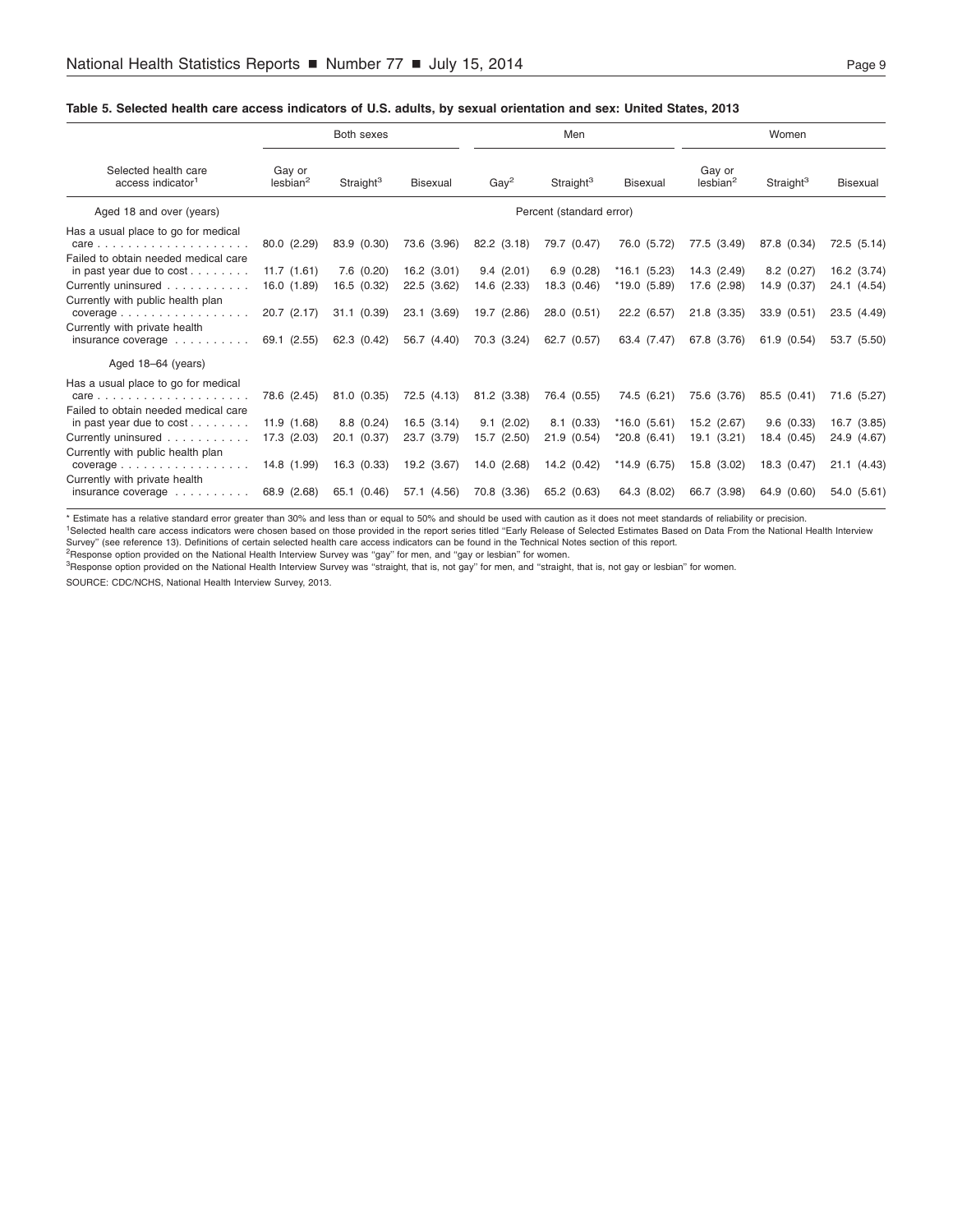### <span id="page-8-0"></span>Table 5. Selected health care access indicators of U.S. adults, by sexual orientation and sex: United States, 2013

|                                                                                                                                                                                                                                                                              |                                                                            | Both sexes                                                           |                                                                           | Men                                                                   |                                                                       |                                                                             | Women                                                                  |                                                                      |                                                                         |
|------------------------------------------------------------------------------------------------------------------------------------------------------------------------------------------------------------------------------------------------------------------------------|----------------------------------------------------------------------------|----------------------------------------------------------------------|---------------------------------------------------------------------------|-----------------------------------------------------------------------|-----------------------------------------------------------------------|-----------------------------------------------------------------------------|------------------------------------------------------------------------|----------------------------------------------------------------------|-------------------------------------------------------------------------|
| Selected health care<br>access indicator <sup>1</sup>                                                                                                                                                                                                                        | Gay or<br>lesbian <sup>2</sup>                                             | Straight <sup>3</sup>                                                | <b>Bisexual</b>                                                           | $\text{Gay}^2$                                                        | Straight <sup>3</sup>                                                 | <b>Bisexual</b>                                                             | Gay or<br>$\text{lesbian}^2$                                           | Straight <sup>3</sup>                                                | <b>Bisexual</b>                                                         |
| Aged 18 and over (years)                                                                                                                                                                                                                                                     | Percent (standard error)                                                   |                                                                      |                                                                           |                                                                       |                                                                       |                                                                             |                                                                        |                                                                      |                                                                         |
| Has a usual place to go for medical<br>$care$<br>Failed to obtain needed medical care<br>in past year due to $cost$<br>Currently uninsured<br>Currently with public health plan<br>$coverage \dots \dots \dots \dots$<br>Currently with private health<br>insurance coverage | 80.0 (2.29)<br>11.7(1.61)<br>16.0 (1.89)<br>$20.7$ $(2.17)$<br>69.1 (2.55) | 83.9 (0.30)<br>7.6(0.20)<br>16.5 (0.32)<br>31.1(0.39)<br>62.3 (0.42) | 73.6 (3.96)<br>$16.2$ (3.01)<br>22.5 (3.62)<br>23.1 (3.69)<br>56.7 (4.40) | 82.2 (3.18)<br>9.4(2.01)<br>14.6 (2.33)<br>19.7 (2.86)<br>70.3 (3.24) | 79.7 (0.47)<br>6.9(0.28)<br>18.3 (0.46)<br>28.0 (0.51)<br>62.7 (0.57) | 76.0 (5.72)<br>$*16.1(5.23)$<br>$*19.0(5.89)$<br>22.2 (6.57)<br>63.4 (7.47) | 77.5 (3.49)<br>14.3(2.49)<br>17.6 (2.98)<br>21.8 (3.35)<br>67.8 (3.76) | 87.8 (0.34)<br>8.2(0.27)<br>14.9 (0.37)<br>33.9(0.51)<br>61.9 (0.54) | 72.5 (5.14)<br>16.2 (3.74)<br>24.1 (4.54)<br>23.5 (4.49)<br>53.7 (5.50) |
| Aged 18-64 (years)                                                                                                                                                                                                                                                           |                                                                            |                                                                      |                                                                           |                                                                       |                                                                       |                                                                             |                                                                        |                                                                      |                                                                         |
| Has a usual place to go for medical<br>care<br>Failed to obtain needed medical care<br>in past year due to cost                                                                                                                                                              | 78.6 (2.45)<br>11.9(1.68)                                                  | 81.0 (0.35)<br>8.8(0.24)                                             | 72.5 (4.13)<br>16.5(3.14)                                                 | 81.2 (3.38)<br>9.1(2.02)                                              | 76.4 (0.55)<br>8.1(0.33)                                              | 74.5 (6.21)<br>$*16.0(5.61)$                                                | 75.6 (3.76)<br>15.2 (2.67)                                             | 85.5 (0.41)<br>9.6(0.33)                                             | 71.6 (5.27)<br>16.7 (3.85)                                              |
| Currently uninsured                                                                                                                                                                                                                                                          | 17.3 (2.03)                                                                | 20.1 (0.37)                                                          | 23.7 (3.79)                                                               | 15.7 (2.50)                                                           | 21.9 (0.54)                                                           | $*20.8(6.41)$                                                               | 19.1 (3.21)                                                            | 18.4 (0.45)                                                          | 24.9 (4.67)                                                             |
| Currently with public health plan<br>$coverage \dots \dots \dots \dots$<br>Currently with private health<br>insurance coverage                                                                                                                                               | 14.8 (1.99)<br>68.9 (2.68)                                                 | 16.3(0.33)<br>65.1 (0.46)                                            | 19.2 (3.67)<br>57.1 (4.56)                                                | 14.0 (2.68)<br>70.8 (3.36)                                            | 14.2 (0.42)<br>65.2 (0.63)                                            | $*14.9(6.75)$<br>64.3 (8.02)                                                | 15.8 (3.02)<br>66.7 (3.98)                                             | 18.3 (0.47)<br>64.9 (0.60)                                           | 21.1 (4.43)<br>54.0 (5.61)                                              |

\* Estimate has a relative standard error greater than 30% and less than or equal to 50% and should be used with caution as it does not meet standards of reliability or precision.<br><sup>1</sup>Selected health care access indicators w

Survey'' (see reference 13). Definitions of certain selected health care access indicators can be found in the Technical Notes section of this report.

<sup>2</sup>Response option provided on the National Health Interview Survey was "gay" for men, and "gay or lesbian" for women.

<sup>3</sup>Response option provided on the National Health Interview Survey was "straight, that is, not gay" for men, and "straight, that is, not gay or lesbian" for women.

SOURCE: CDC/NCHS, National Health Interview Survey, 2013.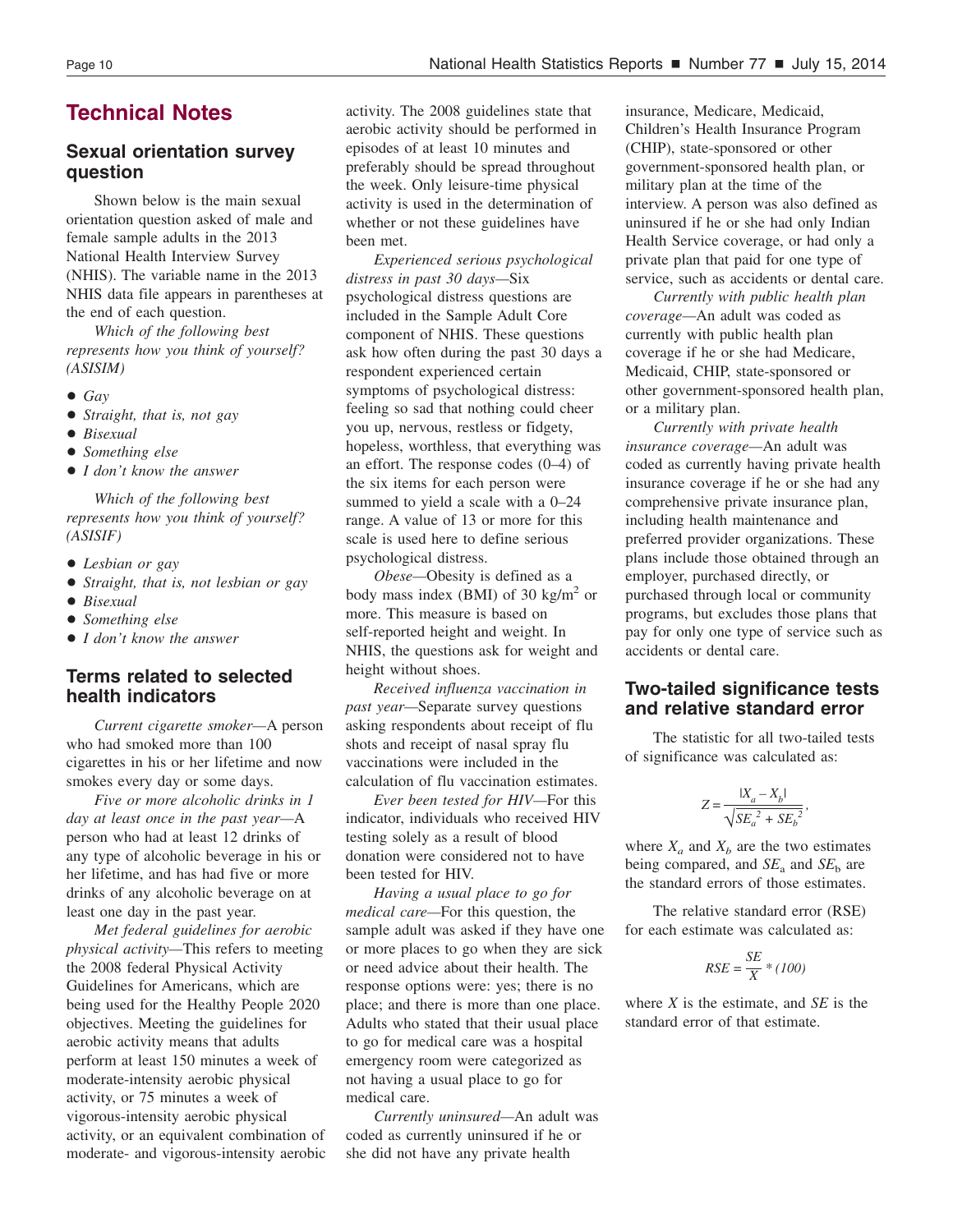### <span id="page-9-0"></span>**Technical Notes**

### **Sexual orientation survey question**

Shown below is the main sexual orientation question asked of male and female sample adults in the 2013 National Health Interview Survey (NHIS). The variable name in the 2013 NHIS data file appears in parentheses at the end of each question.

*Which of the following best represents how you think of yourself? (ASISIM)*

- $\bullet$  *Gay*
- + *Straight, that is, not gay*
- + *Bisexual*
- + *Something else*
- + *I don't know the answer*

*Which of the following best represents how you think of yourself? (ASISIF)*

- + *Lesbian or gay*
- + *Straight, that is, not lesbian or gay*
- $\bullet$  *Bisexual*
- + *Something else*
- + *I don't know the answer*

### **Terms related to selected health indicators**

*Current cigarette smoker—*A person who had smoked more than 100 cigarettes in his or her lifetime and now smokes every day or some days.

*Five or more alcoholic drinks in 1 day at least once in the past year—*A person who had at least 12 drinks of any type of alcoholic beverage in his or her lifetime, and has had five or more drinks of any alcoholic beverage on at least one day in the past year.

*Met federal guidelines for aerobic physical activity—*This refers to meeting the 2008 federal Physical Activity Guidelines for Americans, which are being used for the Healthy People 2020 objectives. Meeting the guidelines for aerobic activity means that adults perform at least 150 minutes a week of moderate-intensity aerobic physical activity, or 75 minutes a week of vigorous-intensity aerobic physical activity, or an equivalent combination of moderate- and vigorous-intensity aerobic activity. The 2008 guidelines state that aerobic activity should be performed in episodes of at least 10 minutes and preferably should be spread throughout the week. Only leisure-time physical activity is used in the determination of whether or not these guidelines have been met.

*Experienced serious psychological distress in past 30 days—*Six psychological distress questions are included in the Sample Adult Core component of NHIS. These questions ask how often during the past 30 days a respondent experienced certain symptoms of psychological distress: feeling so sad that nothing could cheer you up, nervous, restless or fidgety, hopeless, worthless, that everything was an effort. The response codes (0–4) of the six items for each person were summed to yield a scale with a 0–24 range. A value of 13 or more for this scale is used here to define serious psychological distress.

*Obese—*Obesity is defined as a body mass index (BMI) of 30 kg/m<sup>2</sup> or more. This measure is based on self-reported height and weight. In NHIS, the questions ask for weight and height without shoes.

*Received influenza vaccination in past year—*Separate survey questions asking respondents about receipt of flu shots and receipt of nasal spray flu vaccinations were included in the calculation of flu vaccination estimates.

*Ever been tested for HIV—*For this indicator, individuals who received HIV testing solely as a result of blood donation were considered not to have been tested for HIV.

*Having a usual place to go for medical care—*For this question, the sample adult was asked if they have one or more places to go when they are sick or need advice about their health. The response options were: yes; there is no place; and there is more than one place. Adults who stated that their usual place to go for medical care was a hospital emergency room were categorized as not having a usual place to go for medical care.

*Currently uninsured—*An adult was coded as currently uninsured if he or she did not have any private health

insurance, Medicare, Medicaid, Children's Health Insurance Program (CHIP), state-sponsored or other government-sponsored health plan, or military plan at the time of the interview. A person was also defined as uninsured if he or she had only Indian Health Service coverage, or had only a private plan that paid for one type of service, such as accidents or dental care.

*Currently with public health plan coverage—*An adult was coded as currently with public health plan coverage if he or she had Medicare, Medicaid, CHIP, state-sponsored or other government-sponsored health plan, or a military plan.

*Currently with private health insurance coverage—*An adult was coded as currently having private health insurance coverage if he or she had any comprehensive private insurance plan, including health maintenance and preferred provider organizations. These plans include those obtained through an employer, purchased directly, or purchased through local or community programs, but excludes those plans that pay for only one type of service such as accidents or dental care.

### **Two-tailed significance tests and relative standard error**

The statistic for all two-tailed tests of significance was calculated as:

$$
Z = \frac{|X_a - X_b|}{\sqrt{SE_a^2 + SE_b^2}},
$$

where  $X_a$  and  $X_b$  are the two estimates being compared, and  $SE_a$  and  $SE_b$  are the standard errors of those estimates.

The relative standard error (RSE) for each estimate was calculated as:

$$
RSE = \frac{SE}{X} * (100)
$$

where *X* is the estimate, and *SE* is the standard error of that estimate.